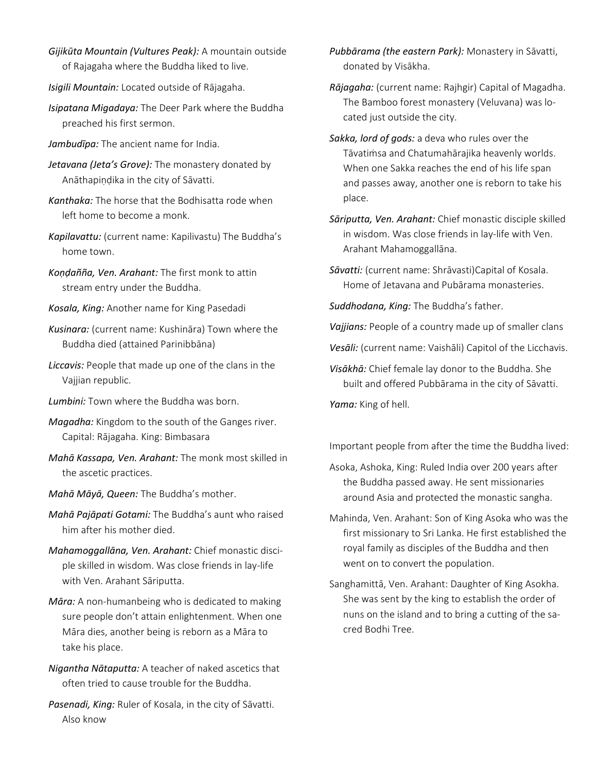- *Gijikūta Mountain (Vultures Peak):* A mountain outside of Rajagaha where the Buddha liked to live.
- *Isigili Mountain:* Located outside of Rājagaha.
- *Isipatana Migadaya:* The Deer Park where the Buddha preached his first sermon.
- *Jambudīpa:* The ancient name for India.
- *Jetavana (Jeta's Grove):* The monastery donated by Anāthapiṇḍika in the city of Sāvatti.
- *Kanthaka:* The horse that the Bodhisatta rode when left home to become a monk.
- *Kapilavattu:* (current name: Kapilivastu) The Buddha's home town.
- *Koṇḍañña, Ven. Arahant:* The first monk to attin stream entry under the Buddha.
- *Kosala, King:* Another name for King Pasedadi
- *Kusinara:* (current name: Kushināra) Town where the Buddha died (attained Parinibbāna)
- *Liccavis:* People that made up one of the clans in the Vajjian republic.
- *Lumbini:* Town where the Buddha was born.
- *Magadha:* Kingdom to the south of the Ganges river. Capital: Rājagaha. King: Bimbasara
- *Mahā Kassapa, Ven. Arahant:* The monk most skilled in the ascetic practices.
- *Mahā Māyā, Queen:* The Buddha's mother.
- *Mahā Pajāpati Gotami:* The Buddha's aunt who raised him after his mother died.
- *Mahamoggallāna, Ven. Arahant:* Chief monastic disciple skilled in wisdom. Was close friends in lay-life with Ven. Arahant Sāriputta.
- take his place. *Māra:* A non-humanbeing who is dedicated to making sure people don't attain enlightenment. When one Māra dies, another being is reborn as a Māra to
- *Nigantha Nātaputta:* A teacher of naked ascetics that often tried to cause trouble for the Buddha.
- *Pasenadi, King:* Ruler of Kosala, in the city of Sāvatti. Also know
- *Pubbārama (the eastern Park):* Monastery in Sāvatti, donated by Visākha.
- *Rājagaha:* (current name: Rajhgir) Capital of Magadha. The Bamboo forest monastery (Veluvana) was located just outside the city.
- *Sakka, lord of gods:* a deva who rules over the Tāvatiṁsa and Chatumahārajika heavenly worlds. When one Sakka reaches the end of his life span and passes away, another one is reborn to take his place.
- *Sāriputta, Ven. Arahant:* Chief monastic disciple skilled in wisdom. Was close friends in lay-life with Ven. Arahant Mahamoggallāna.
- *Sāvatti:* (current name: Shrāvasti)Capital of Kosala. Home of Jetavana and Pubārama monasteries.
- *Suddhodana, King:* The Buddha's father.
- *Vajjians:* People of a country made up of smaller clans
- *Vesāli:* (current name: Vaishāli) Capitol of the Licchavis.
- *Visākhā:* Chief female lay donor to the Buddha. She built and offered Pubbārama in the city of Sāvatti.

*Yama:* King of hell.

Important people from after the time the Buddha lived:

- Asoka, Ashoka, King: Ruled India over 200 years after the Buddha passed away. He sent missionaries around Asia and protected the monastic sangha.
- Mahinda, Ven. Arahant: Son of King Asoka who was the first missionary to Sri Lanka. He first established the royal family as disciples of the Buddha and then went on to convert the population.
- Sanghamittā, Ven. Arahant: Daughter of King Asokha. She was sent by the king to establish the order of nuns on the island and to bring a cutting of the sacred Bodhi Tree.